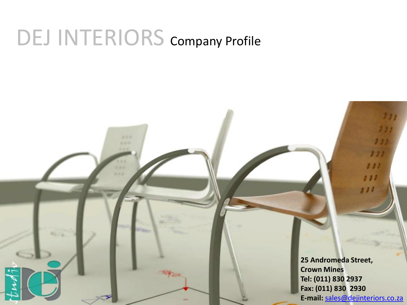## DEJ INTERIORS Company Profile

2m

**25 Andromeda Street, Crown Mines Tel: (011) 830 2937 Fax: (011) 830 2930 E-mail:** [sales@dejinteriors.co.za](mailto:sales@dejinteriors.co.za)

7 7 7

 $111$ 

 $0.00$ 

זת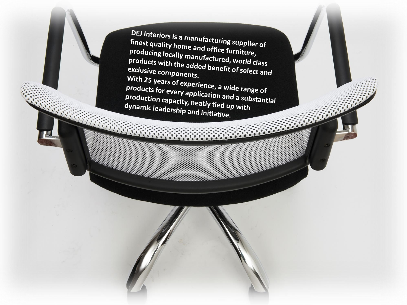DEJ Interiors is a manufacturing supplier of finest quality home and office furniture, producing locally manufactured, world class products with the added benefit of select and exclusive components. With 25 years of experience, a wide range of products for every application and a substantial production capacity, neatly tied up with dynamic leadership and initiative.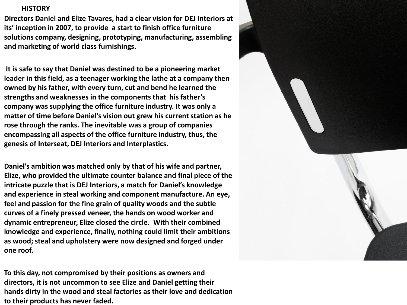## **HISTORY**

**Directors Daniel and Elize Tavares, had a clear vision for DEJ Interiors at its' inception in 2007, to provide a start to finish office furniture solutions company, designing, prototyping, manufacturing, assembling and marketing of world class furnishings.**

**It is safe to say that Daniel was destined to be a pioneering market leader in this field, as a teenager working the lathe at a company then owned by his father, with every turn, cut and bend he learned the strengths and weaknesses in the components that his father's company was supplying the office furniture industry. It was only a matter of time before Daniel's vision out grew his current station as he rose through the ranks. The inevitable was a group of companies encompassing all aspects of the office furniture industry, thus, the genesis of Interseat, DEJ Interiors and Interplastics.**

**Daniel's ambition was matched only by that of his wife and partner, Elize, who provided the ultimate counter balance and final piece of the intricate puzzle that is DEJ Interiors, a match for Daniel's knowledge and experience in steal working and component manufacture. An eye, feel and passion for the fine grain of quality woods and the subtle curves of a finely pressed veneer, the hands on wood worker and dynamic entrepreneur, Elize closed the circle. With their combined knowledge and experience, finally, nothing could limit their ambitions as wood; steal and upholstery were now designed and forged under one roof.** 

**To this day, not compromised by their positions as owners and directors, it is not uncommon to see Elize and Daniel getting their hands dirty in the wood and steal factories as their love and dedication to their products has never faded.**

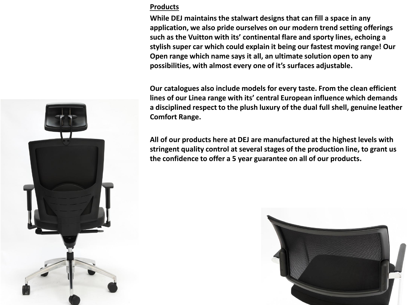## **Products**

**While DEJ maintains the stalwart designs that can fill a space in any application, we also pride ourselves on our modern trend setting offerings such as the Vuitton with its' continental flare and sporty lines, echoing a stylish super car which could explain it being our fastest moving range! Our Open range which name says it all, an ultimate solution open to any possibilities, with almost every one of it's surfaces adjustable.**

**Our catalogues also include models for every taste. From the clean efficient lines of our Linea range with its' central European influence which demands a disciplined respect to the plush luxury of the dual full shell, genuine leather Comfort Range.**

**All of our products here at DEJ are manufactured at the highest levels with stringent quality control at several stages of the production line, to grant us the confidence to offer a 5 year guarantee on all of our products.**